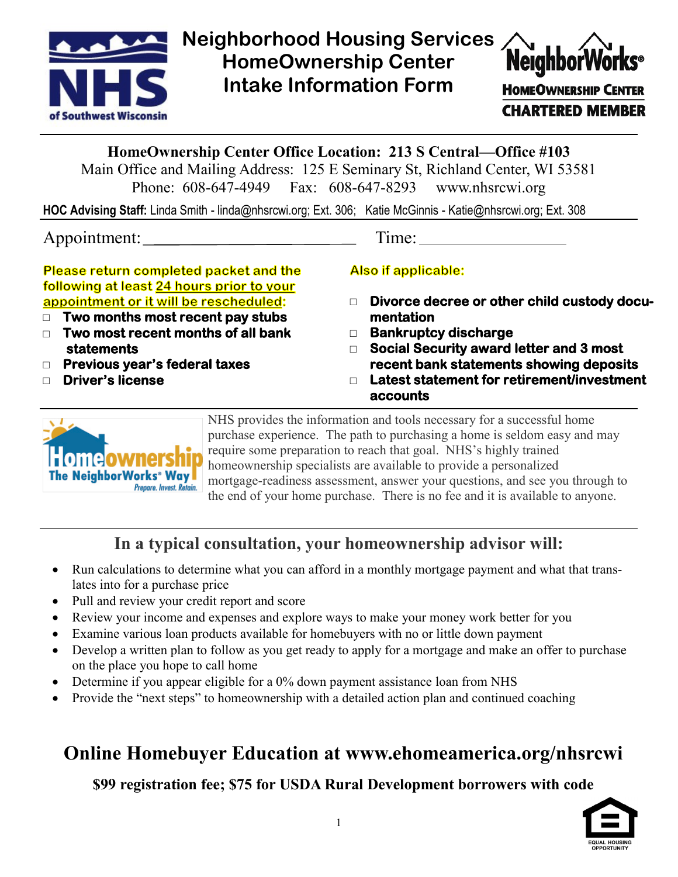

**Neighborhood Housing Services HomeOwnership Center Intake Information Form** 



**HOMEOWNERSHIP CENTER CHARTERED MEMBER** 

## **HomeOwnership Center Office Location: 213 S Central—Office #103**

Main Office and Mailing Address: 125 E Seminary St, Richland Center, WI 53581 Phone: 608-647-4949 Fax: 608-647-8293 www.nhsrcwi.org

**HOC Advising Staff:** Linda Smith - linda@nhsrcwi.org; Ext. 306; Katie McGinnis - Katie@nhsrcwi.org; Ext. 308

Appointment: Time:

Please return completed packet and the following at least 24 hours prior to your appointment or it will be rescheduled:

- □ **Two months most recent pay stubs**
- □ **Two most recent months of all bank statements**
- □ **Previous year's federal taxes**
- □ **Driver's license**

**Also if applicable:** 

- □ **Divorce decree or other child custody documentation**
- □ **Bankruptcy discharge**
- □ **Social Security award letter and 3 most recent bank statements showing deposits**
- □ **Latest statement for retirement/investment accounts**



NHS provides the information and tools necessary for a successful home purchase experience. The path to purchasing a home is seldom easy and may require some preparation to reach that goal. NHS's highly trained homeownership specialists are available to provide a personalized mortgage-readiness assessment, answer your questions, and see you through to the end of your home purchase. There is no fee and it is available to anyone.

# **In a typical consultation, your homeownership advisor will:**

- Run calculations to determine what you can afford in a monthly mortgage payment and what that translates into for a purchase price
- Pull and review your credit report and score
- Review your income and expenses and explore ways to make your money work better for you
- Examine various loan products available for homebuyers with no or little down payment
- Develop a written plan to follow as you get ready to apply for a mortgage and make an offer to purchase on the place you hope to call home
- Determine if you appear eligible for a 0% down payment assistance loan from NHS
- Provide the "next steps" to homeownership with a detailed action plan and continued coaching

# **Online Homebuyer Education at www.ehomeamerica.org/nhsrcwi**

**\$99 registration fee; \$75 for USDA Rural Development borrowers with code**

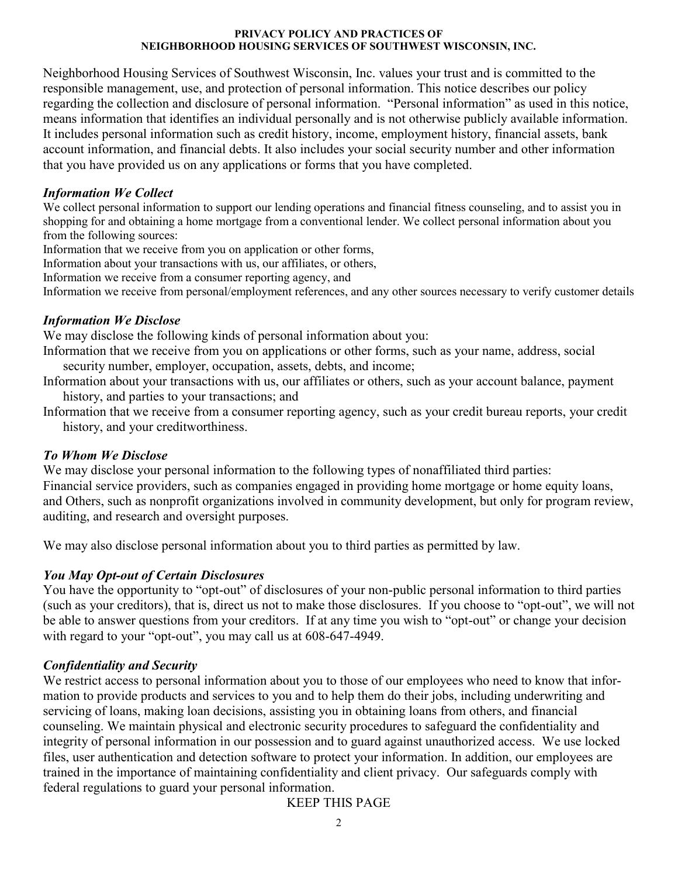#### **PRIVACY POLICY AND PRACTICES OF NEIGHBORHOOD HOUSING SERVICES OF SOUTHWEST WISCONSIN, INC.**

Neighborhood Housing Services of Southwest Wisconsin, Inc. values your trust and is committed to the responsible management, use, and protection of personal information. This notice describes our policy regarding the collection and disclosure of personal information. "Personal information" as used in this notice, means information that identifies an individual personally and is not otherwise publicly available information. It includes personal information such as credit history, income, employment history, financial assets, bank account information, and financial debts. It also includes your social security number and other information that you have provided us on any applications or forms that you have completed.

### *Information We Collect*

We collect personal information to support our lending operations and financial fitness counseling, and to assist you in shopping for and obtaining a home mortgage from a conventional lender. We collect personal information about you from the following sources:

Information that we receive from you on application or other forms,

Information about your transactions with us, our affiliates, or others,

Information we receive from a consumer reporting agency, and

Information we receive from personal/employment references, and any other sources necessary to verify customer details

## *Information We Disclose*

We may disclose the following kinds of personal information about you:

Information that we receive from you on applications or other forms, such as your name, address, social security number, employer, occupation, assets, debts, and income;

- Information about your transactions with us, our affiliates or others, such as your account balance, payment history, and parties to your transactions; and
- Information that we receive from a consumer reporting agency, such as your credit bureau reports, your credit history, and your creditworthiness.

## *To Whom We Disclose*

We may disclose your personal information to the following types of nonaffiliated third parties: Financial service providers, such as companies engaged in providing home mortgage or home equity loans, and Others, such as nonprofit organizations involved in community development, but only for program review, auditing, and research and oversight purposes.

We may also disclose personal information about you to third parties as permitted by law.

## *You May Opt-out of Certain Disclosures*

You have the opportunity to "opt-out" of disclosures of your non-public personal information to third parties (such as your creditors), that is, direct us not to make those disclosures. If you choose to "opt-out", we will not be able to answer questions from your creditors. If at any time you wish to "opt-out" or change your decision with regard to your "opt-out", you may call us at 608-647-4949.

## *Confidentiality and Security*

We restrict access to personal information about you to those of our employees who need to know that information to provide products and services to you and to help them do their jobs, including underwriting and servicing of loans, making loan decisions, assisting you in obtaining loans from others, and financial counseling. We maintain physical and electronic security procedures to safeguard the confidentiality and integrity of personal information in our possession and to guard against unauthorized access. We use locked files, user authentication and detection software to protect your information. In addition, our employees are trained in the importance of maintaining confidentiality and client privacy. Our safeguards comply with federal regulations to guard your personal information.

KEEP THIS PAGE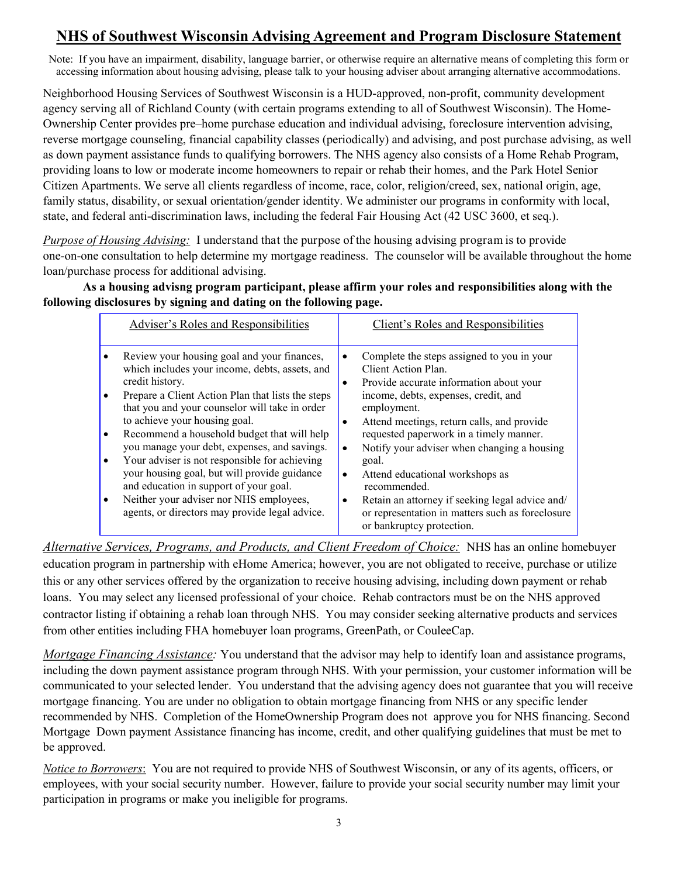# **NHS of Southwest Wisconsin Advising Agreement and Program Disclosure Statement**

Note: If you have an impairment, disability, language barrier, or otherwise require an alternative means of completing this form or accessing information about housing advising, please talk to your housing adviser about arranging alternative accommodations.

Neighborhood Housing Services of Southwest Wisconsin is a HUD-approved, non-profit, community development agency serving all of Richland County (with certain programs extending to all of Southwest Wisconsin). The Home-Ownership Center provides pre–home purchase education and individual advising, foreclosure intervention advising, reverse mortgage counseling, financial capability classes (periodically) and advising, and post purchase advising, as well as down payment assistance funds to qualifying borrowers. The NHS agency also consists of a Home Rehab Program, providing loans to low or moderate income homeowners to repair or rehab their homes, and the Park Hotel Senior Citizen Apartments. We serve all clients regardless of income, race, color, religion/creed, sex, national origin, age, family status, disability, or sexual orientation/gender identity. We administer our programs in conformity with local, state, and federal anti-discrimination laws, including the federal Fair Housing Act (42 USC 3600, et seq.).

*Purpose of Housing Advising:* I understand that the purpose of the housing advising program is to provide one-on-one consultation to help determine my mortgage readiness. The counselor will be available throughout the home loan/purchase process for additional advising.

**As a housing advisng program participant, please affirm your roles and responsibilities along with the following disclosures by signing and dating on the following page.**

| Adviser's Roles and Responsibilities                                                                                                                                                                                                                                                                                                                                                                                                                                                                                                                                                            | Client's Roles and Responsibilities                                                                                                                                                                                                                                                                                                                                                                                                                                                                                                                                               |
|-------------------------------------------------------------------------------------------------------------------------------------------------------------------------------------------------------------------------------------------------------------------------------------------------------------------------------------------------------------------------------------------------------------------------------------------------------------------------------------------------------------------------------------------------------------------------------------------------|-----------------------------------------------------------------------------------------------------------------------------------------------------------------------------------------------------------------------------------------------------------------------------------------------------------------------------------------------------------------------------------------------------------------------------------------------------------------------------------------------------------------------------------------------------------------------------------|
| Review your housing goal and your finances,<br>which includes your income, debts, assets, and<br>credit history.<br>Prepare a Client Action Plan that lists the steps<br>that you and your counselor will take in order<br>to achieve your housing goal.<br>Recommend a household budget that will help<br>you manage your debt, expenses, and savings.<br>Your adviser is not responsible for achieving<br>your housing goal, but will provide guidance<br>and education in support of your goal.<br>Neither your adviser nor NHS employees,<br>agents, or directors may provide legal advice. | Complete the steps assigned to you in your<br>$\bullet$<br>Client Action Plan.<br>Provide accurate information about your<br>$\bullet$<br>income, debts, expenses, credit, and<br>employment.<br>Attend meetings, return calls, and provide<br>$\bullet$<br>requested paperwork in a timely manner.<br>Notify your adviser when changing a housing<br>$\bullet$<br>goal.<br>Attend educational workshops as<br>$\bullet$<br>recommended.<br>Retain an attorney if seeking legal advice and/<br>٠<br>or representation in matters such as foreclosure<br>or bankruptcy protection. |

*Alternative Services, Programs, and Products, and Client Freedom of Choice:* NHS has an online homebuyer education program in partnership with eHome America; however, you are not obligated to receive, purchase or utilize this or any other services offered by the organization to receive housing advising, including down payment or rehab loans. You may select any licensed professional of your choice. Rehab contractors must be on the NHS approved contractor listing if obtaining a rehab loan through NHS. You may consider seeking alternative products and services from other entities including FHA homebuyer loan programs, GreenPath, or CouleeCap.

*Mortgage Financing Assistance:* You understand that the advisor may help to identify loan and assistance programs, including the down payment assistance program through NHS. With your permission, your customer information will be communicated to your selected lender. You understand that the advising agency does not guarantee that you will receive mortgage financing. You are under no obligation to obtain mortgage financing from NHS or any specific lender recommended by NHS. Completion of the HomeOwnership Program does not approve you for NHS financing. Second Mortgage Down payment Assistance financing has income, credit, and other qualifying guidelines that must be met to be approved.

*Notice to Borrowers*: You are not required to provide NHS of Southwest Wisconsin, or any of its agents, officers, or employees, with your social security number. However, failure to provide your social security number may limit your participation in programs or make you ineligible for programs.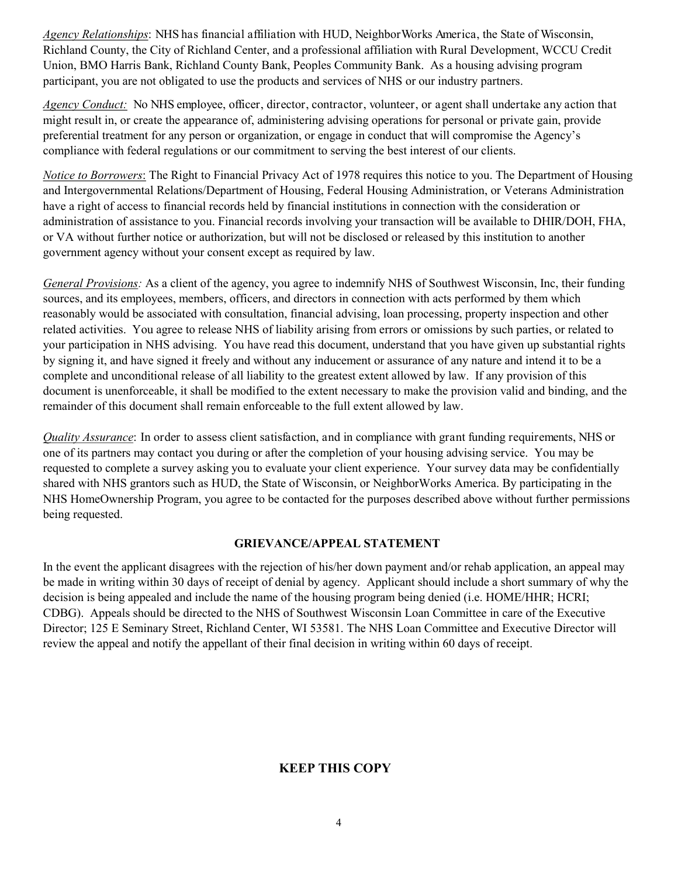*Agency Relationships*: NHS has financial affiliation with HUD, NeighborWorks America, the State of Wisconsin, Richland County, the City of Richland Center, and a professional affiliation with Rural Development, WCCU Credit Union, BMO Harris Bank, Richland County Bank, Peoples Community Bank. As a housing advising program participant, you are not obligated to use the products and services of NHS or our industry partners.

*Agency Conduct:* No NHS employee, officer, director, contractor, volunteer, or agent shall undertake any action that might result in, or create the appearance of, administering advising operations for personal or private gain, provide preferential treatment for any person or organization, or engage in conduct that will compromise the Agency's compliance with federal regulations or our commitment to serving the best interest of our clients.

*Notice to Borrowers*: The Right to Financial Privacy Act of 1978 requires this notice to you. The Department of Housing and Intergovernmental Relations/Department of Housing, Federal Housing Administration, or Veterans Administration have a right of access to financial records held by financial institutions in connection with the consideration or administration of assistance to you. Financial records involving your transaction will be available to DHIR/DOH, FHA, or VA without further notice or authorization, but will not be disclosed or released by this institution to another government agency without your consent except as required by law.

*General Provisions:* As a client of the agency, you agree to indemnify NHS of Southwest Wisconsin, Inc, their funding sources, and its employees, members, officers, and directors in connection with acts performed by them which reasonably would be associated with consultation, financial advising, loan processing, property inspection and other related activities. You agree to release NHS of liability arising from errors or omissions by such parties, or related to your participation in NHS advising. You have read this document, understand that you have given up substantial rights by signing it, and have signed it freely and without any inducement or assurance of any nature and intend it to be a complete and unconditional release of all liability to the greatest extent allowed by law. If any provision of this document is unenforceable, it shall be modified to the extent necessary to make the provision valid and binding, and the remainder of this document shall remain enforceable to the full extent allowed by law.

*Quality Assurance*: In order to assess client satisfaction, and in compliance with grant funding requirements, NHS or one of its partners may contact you during or after the completion of your housing advising service. You may be requested to complete a survey asking you to evaluate your client experience. Your survey data may be confidentially shared with NHS grantors such as HUD, the State of Wisconsin, or NeighborWorks America. By participating in the NHS HomeOwnership Program, you agree to be contacted for the purposes described above without further permissions being requested.

#### **GRIEVANCE/APPEAL STATEMENT**

In the event the applicant disagrees with the rejection of his/her down payment and/or rehab application, an appeal may be made in writing within 30 days of receipt of denial by agency. Applicant should include a short summary of why the decision is being appealed and include the name of the housing program being denied (i.e. HOME/HHR; HCRI; CDBG). Appeals should be directed to the NHS of Southwest Wisconsin Loan Committee in care of the Executive Director; 125 E Seminary Street, Richland Center, WI 53581. The NHS Loan Committee and Executive Director will review the appeal and notify the appellant of their final decision in writing within 60 days of receipt.

### **KEEP THIS COPY**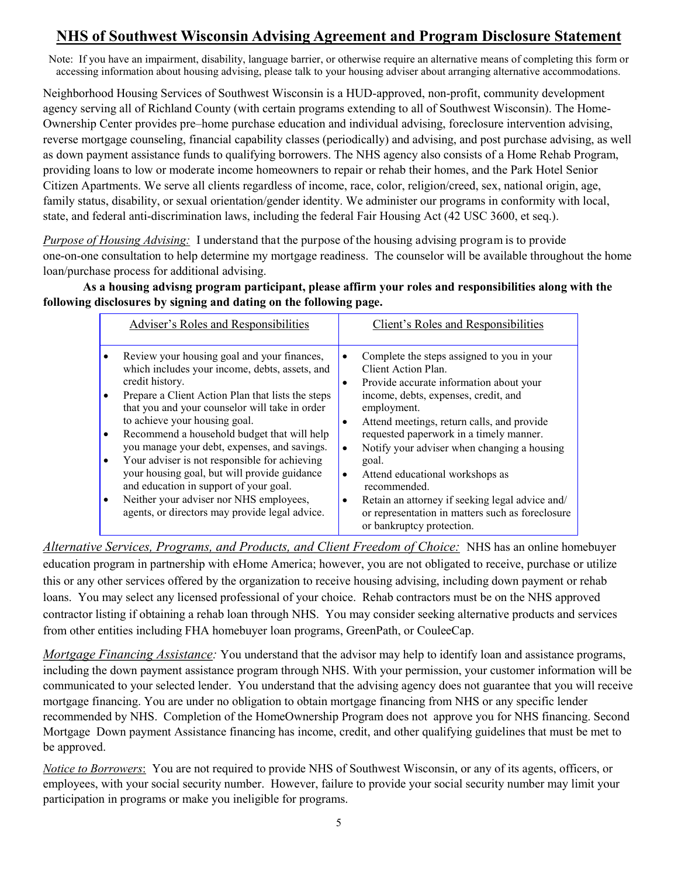# **NHS of Southwest Wisconsin Advising Agreement and Program Disclosure Statement**

Note: If you have an impairment, disability, language barrier, or otherwise require an alternative means of completing this form or accessing information about housing advising, please talk to your housing adviser about arranging alternative accommodations.

Neighborhood Housing Services of Southwest Wisconsin is a HUD-approved, non-profit, community development agency serving all of Richland County (with certain programs extending to all of Southwest Wisconsin). The Home-Ownership Center provides pre–home purchase education and individual advising, foreclosure intervention advising, reverse mortgage counseling, financial capability classes (periodically) and advising, and post purchase advising, as well as down payment assistance funds to qualifying borrowers. The NHS agency also consists of a Home Rehab Program, providing loans to low or moderate income homeowners to repair or rehab their homes, and the Park Hotel Senior Citizen Apartments. We serve all clients regardless of income, race, color, religion/creed, sex, national origin, age, family status, disability, or sexual orientation/gender identity. We administer our programs in conformity with local, state, and federal anti-discrimination laws, including the federal Fair Housing Act (42 USC 3600, et seq.).

*Purpose of Housing Advising:* I understand that the purpose of the housing advising program is to provide one-on-one consultation to help determine my mortgage readiness. The counselor will be available throughout the home loan/purchase process for additional advising.

**As a housing advisng program participant, please affirm your roles and responsibilities along with the following disclosures by signing and dating on the following page.**

| Adviser's Roles and Responsibilities                                                                                                                                                                                                                                                                                                                                                                                                                                                                                                                                                            | Client's Roles and Responsibilities                                                                                                                                                                                                                                                                                                                                                                                                                                                                                                                                               |
|-------------------------------------------------------------------------------------------------------------------------------------------------------------------------------------------------------------------------------------------------------------------------------------------------------------------------------------------------------------------------------------------------------------------------------------------------------------------------------------------------------------------------------------------------------------------------------------------------|-----------------------------------------------------------------------------------------------------------------------------------------------------------------------------------------------------------------------------------------------------------------------------------------------------------------------------------------------------------------------------------------------------------------------------------------------------------------------------------------------------------------------------------------------------------------------------------|
| Review your housing goal and your finances,<br>which includes your income, debts, assets, and<br>credit history.<br>Prepare a Client Action Plan that lists the steps<br>that you and your counselor will take in order<br>to achieve your housing goal.<br>Recommend a household budget that will help<br>you manage your debt, expenses, and savings.<br>Your adviser is not responsible for achieving<br>your housing goal, but will provide guidance<br>and education in support of your goal.<br>Neither your adviser nor NHS employees,<br>agents, or directors may provide legal advice. | Complete the steps assigned to you in your<br>$\bullet$<br>Client Action Plan.<br>Provide accurate information about your<br>$\bullet$<br>income, debts, expenses, credit, and<br>employment.<br>Attend meetings, return calls, and provide<br>$\bullet$<br>requested paperwork in a timely manner.<br>Notify your adviser when changing a housing<br>$\bullet$<br>goal.<br>Attend educational workshops as<br>$\bullet$<br>recommended.<br>Retain an attorney if seeking legal advice and/<br>٠<br>or representation in matters such as foreclosure<br>or bankruptcy protection. |

*Alternative Services, Programs, and Products, and Client Freedom of Choice:* NHS has an online homebuyer education program in partnership with eHome America; however, you are not obligated to receive, purchase or utilize this or any other services offered by the organization to receive housing advising, including down payment or rehab loans. You may select any licensed professional of your choice. Rehab contractors must be on the NHS approved contractor listing if obtaining a rehab loan through NHS. You may consider seeking alternative products and services from other entities including FHA homebuyer loan programs, GreenPath, or CouleeCap.

*Mortgage Financing Assistance:* You understand that the advisor may help to identify loan and assistance programs, including the down payment assistance program through NHS. With your permission, your customer information will be communicated to your selected lender. You understand that the advising agency does not guarantee that you will receive mortgage financing. You are under no obligation to obtain mortgage financing from NHS or any specific lender recommended by NHS. Completion of the HomeOwnership Program does not approve you for NHS financing. Second Mortgage Down payment Assistance financing has income, credit, and other qualifying guidelines that must be met to be approved.

*Notice to Borrowers*: You are not required to provide NHS of Southwest Wisconsin, or any of its agents, officers, or employees, with your social security number. However, failure to provide your social security number may limit your participation in programs or make you ineligible for programs.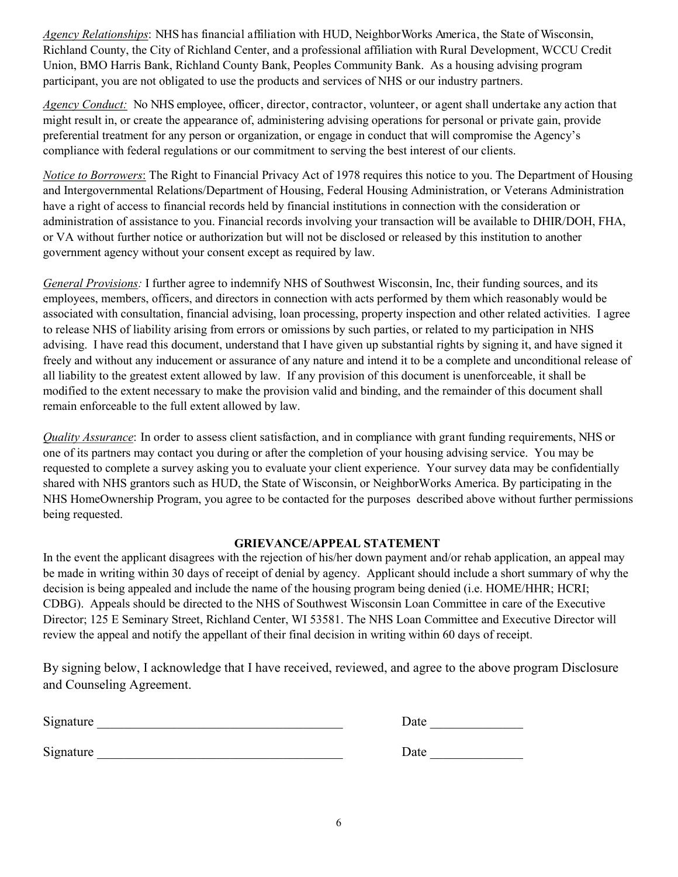*Agency Relationships*: NHS has financial affiliation with HUD, NeighborWorks America, the State of Wisconsin, Richland County, the City of Richland Center, and a professional affiliation with Rural Development, WCCU Credit Union, BMO Harris Bank, Richland County Bank, Peoples Community Bank. As a housing advising program participant, you are not obligated to use the products and services of NHS or our industry partners.

*Agency Conduct:* No NHS employee, officer, director, contractor, volunteer, or agent shall undertake any action that might result in, or create the appearance of, administering advising operations for personal or private gain, provide preferential treatment for any person or organization, or engage in conduct that will compromise the Agency's compliance with federal regulations or our commitment to serving the best interest of our clients.

*Notice to Borrowers*: The Right to Financial Privacy Act of 1978 requires this notice to you. The Department of Housing and Intergovernmental Relations/Department of Housing, Federal Housing Administration, or Veterans Administration have a right of access to financial records held by financial institutions in connection with the consideration or administration of assistance to you. Financial records involving your transaction will be available to DHIR/DOH, FHA, or VA without further notice or authorization but will not be disclosed or released by this institution to another government agency without your consent except as required by law.

*General Provisions:* I further agree to indemnify NHS of Southwest Wisconsin, Inc, their funding sources, and its employees, members, officers, and directors in connection with acts performed by them which reasonably would be associated with consultation, financial advising, loan processing, property inspection and other related activities. I agree to release NHS of liability arising from errors or omissions by such parties, or related to my participation in NHS advising. I have read this document, understand that I have given up substantial rights by signing it, and have signed it freely and without any inducement or assurance of any nature and intend it to be a complete and unconditional release of all liability to the greatest extent allowed by law. If any provision of this document is unenforceable, it shall be modified to the extent necessary to make the provision valid and binding, and the remainder of this document shall remain enforceable to the full extent allowed by law.

*Quality Assurance*: In order to assess client satisfaction, and in compliance with grant funding requirements, NHS or one of its partners may contact you during or after the completion of your housing advising service. You may be requested to complete a survey asking you to evaluate your client experience. Your survey data may be confidentially shared with NHS grantors such as HUD, the State of Wisconsin, or NeighborWorks America. By participating in the NHS HomeOwnership Program, you agree to be contacted for the purposes described above without further permissions being requested.

### **GRIEVANCE/APPEAL STATEMENT**

In the event the applicant disagrees with the rejection of his/her down payment and/or rehab application, an appeal may be made in writing within 30 days of receipt of denial by agency. Applicant should include a short summary of why the decision is being appealed and include the name of the housing program being denied (i.e. HOME/HHR; HCRI; CDBG). Appeals should be directed to the NHS of Southwest Wisconsin Loan Committee in care of the Executive Director; 125 E Seminary Street, Richland Center, WI 53581. The NHS Loan Committee and Executive Director will review the appeal and notify the appellant of their final decision in writing within 60 days of receipt.

By signing below, I acknowledge that I have received, reviewed, and agree to the above program Disclosure and Counseling Agreement.

| Signature | - -<br>Jate |
|-----------|-------------|
|           |             |

Signature **Date Signature**  $\Box$ 

| Date |  |  |  |  |
|------|--|--|--|--|
|      |  |  |  |  |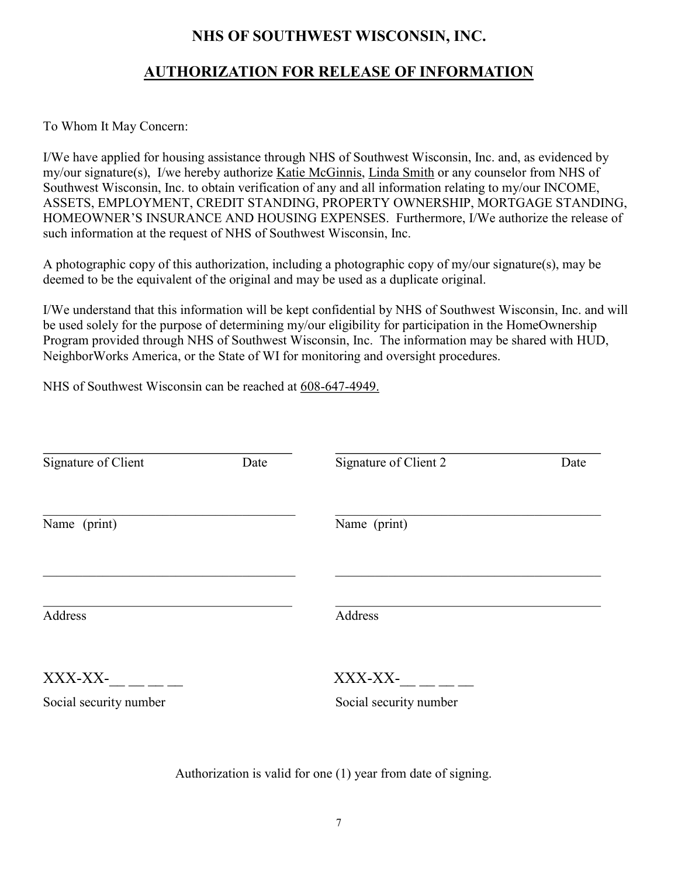## **NHS OF SOUTHWEST WISCONSIN, INC.**

## **AUTHORIZATION FOR RELEASE OF INFORMATION**

To Whom It May Concern:

I/We have applied for housing assistance through NHS of Southwest Wisconsin, Inc. and, as evidenced by my/our signature(s), I/we hereby authorize Katie McGinnis, Linda Smith or any counselor from NHS of Southwest Wisconsin, Inc. to obtain verification of any and all information relating to my/our INCOME, ASSETS, EMPLOYMENT, CREDIT STANDING, PROPERTY OWNERSHIP, MORTGAGE STANDING, HOMEOWNER'S INSURANCE AND HOUSING EXPENSES. Furthermore, I/We authorize the release of such information at the request of NHS of Southwest Wisconsin, Inc.

A photographic copy of this authorization, including a photographic copy of my/our signature(s), may be deemed to be the equivalent of the original and may be used as a duplicate original.

I/We understand that this information will be kept confidential by NHS of Southwest Wisconsin, Inc. and will be used solely for the purpose of determining my/our eligibility for participation in the HomeOwnership Program provided through NHS of Southwest Wisconsin, Inc. The information may be shared with HUD, NeighborWorks America, or the State of WI for monitoring and oversight procedures.

NHS of Southwest Wisconsin can be reached at 608-647-4949.

| Signature of Client<br>Date |  | Signature of Client 2  | Date |
|-----------------------------|--|------------------------|------|
| Name (print)                |  | Name (print)           |      |
| Address                     |  | Address                |      |
| XXX-XX-                     |  | XXX-XX-                |      |
| Social security number      |  | Social security number |      |

Authorization is valid for one (1) year from date of signing.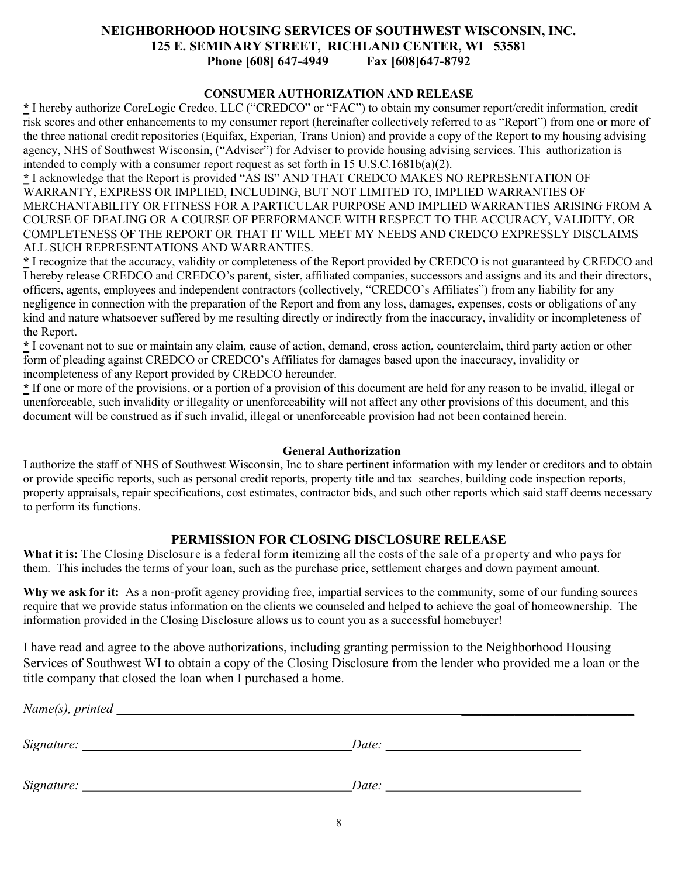#### **NEIGHBORHOOD HOUSING SERVICES OF SOUTHWEST WISCONSIN, INC. 125 E. SEMINARY STREET, RICHLAND CENTER, WI 53581 Phone [608] 647-4949 Fax [608]647-8792**

#### **CONSUMER AUTHORIZATION AND RELEASE**

**\*** I hereby authorize CoreLogic Credco, LLC ("CREDCO" or "FAC") to obtain my consumer report/credit information, credit risk scores and other enhancements to my consumer report (hereinafter collectively referred to as "Report") from one or more of the three national credit repositories (Equifax, Experian, Trans Union) and provide a copy of the Report to my housing advising agency, NHS of Southwest Wisconsin, ("Adviser") for Adviser to provide housing advising services. This authorization is intended to comply with a consumer report request as set forth in 15 U.S.C.1681b(a)(2).

**\*** I acknowledge that the Report is provided "AS IS" AND THAT CREDCO MAKES NO REPRESENTATION OF WARRANTY, EXPRESS OR IMPLIED, INCLUDING, BUT NOT LIMITED TO, IMPLIED WARRANTIES OF MERCHANTABILITY OR FITNESS FOR A PARTICULAR PURPOSE AND IMPLIED WARRANTIES ARISING FROM A COURSE OF DEALING OR A COURSE OF PERFORMANCE WITH RESPECT TO THE ACCURACY, VALIDITY, OR COMPLETENESS OF THE REPORT OR THAT IT WILL MEET MY NEEDS AND CREDCO EXPRESSLY DISCLAIMS ALL SUCH REPRESENTATIONS AND WARRANTIES.

**\*** I recognize that the accuracy, validity or completeness of the Report provided by CREDCO is not guaranteed by CREDCO and I hereby release CREDCO and CREDCO's parent, sister, affiliated companies, successors and assigns and its and their directors, officers, agents, employees and independent contractors (collectively, "CREDCO's Affiliates") from any liability for any negligence in connection with the preparation of the Report and from any loss, damages, expenses, costs or obligations of any kind and nature whatsoever suffered by me resulting directly or indirectly from the inaccuracy, invalidity or incompleteness of the Report.

**\*** I covenant not to sue or maintain any claim, cause of action, demand, cross action, counterclaim, third party action or other form of pleading against CREDCO or CREDCO's Affiliates for damages based upon the inaccuracy, invalidity or incompleteness of any Report provided by CREDCO hereunder.

**\*** If one or more of the provisions, or a portion of a provision of this document are held for any reason to be invalid, illegal or unenforceable, such invalidity or illegality or unenforceability will not affect any other provisions of this document, and this document will be construed as if such invalid, illegal or unenforceable provision had not been contained herein.

#### **General Authorization**

I authorize the staff of NHS of Southwest Wisconsin, Inc to share pertinent information with my lender or creditors and to obtain or provide specific reports, such as personal credit reports, property title and tax searches, building code inspection reports, property appraisals, repair specifications, cost estimates, contractor bids, and such other reports which said staff deems necessary to perform its functions.

### **PERMISSION FOR CLOSING DISCLOSURE RELEASE**

**What it is:** The Closing Disclosure is a federal form itemizing all the costs of the sale of a property and who pays for them. This includes the terms of your loan, such as the purchase price, settlement charges and down payment amount.

**Why we ask for it:** As a non-profit agency providing free, impartial services to the community, some of our funding sources require that we provide status information on the clients we counseled and helped to achieve the goal of homeownership. The information provided in the Closing Disclosure allows us to count you as a successful homebuyer!

I have read and agree to the above authorizations, including granting permission to the Neighborhood Housing Services of Southwest WI to obtain a copy of the Closing Disclosure from the lender who provided me a loan or the title company that closed the loan when I purchased a home.

| $Name(s)$ , printed $\_\_$ |       |
|----------------------------|-------|
|                            |       |
|                            | Date: |
|                            | Date: |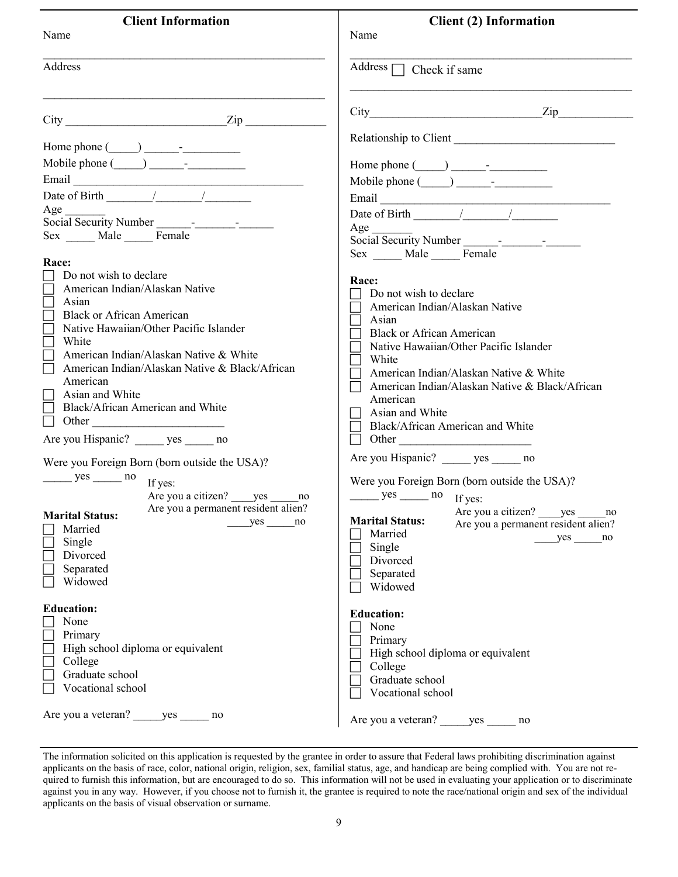| <b>Client Information</b>                                                                                                                                                                                                                                                                                                                                                                                                | <b>Client (2) Information</b>                                                                                                                                                                                                                                                                                                                                                                                                 |
|--------------------------------------------------------------------------------------------------------------------------------------------------------------------------------------------------------------------------------------------------------------------------------------------------------------------------------------------------------------------------------------------------------------------------|-------------------------------------------------------------------------------------------------------------------------------------------------------------------------------------------------------------------------------------------------------------------------------------------------------------------------------------------------------------------------------------------------------------------------------|
| Name                                                                                                                                                                                                                                                                                                                                                                                                                     | Name                                                                                                                                                                                                                                                                                                                                                                                                                          |
| Address                                                                                                                                                                                                                                                                                                                                                                                                                  | Address $\Box$ Check if same                                                                                                                                                                                                                                                                                                                                                                                                  |
| $City$ $Zip$                                                                                                                                                                                                                                                                                                                                                                                                             | $City$ $Zip$                                                                                                                                                                                                                                                                                                                                                                                                                  |
| Mobile phone $(\ )$ -<br>Date of Birth $\frac{1}{\sqrt{1-\frac{1}{2}}}\left  \frac{1}{\sqrt{1-\frac{1}{2}}}\right $<br>Age<br>Sex _____ Male _____ Female<br>Race:<br>Do not wish to declare                                                                                                                                                                                                                             | Relationship to Client<br>Date of Birth $\frac{1}{\sqrt{1-\frac{1}{2}}}\left( \frac{1}{\sqrt{1-\frac{1}{2}}}\right)$<br>Age<br>Sex Male Female                                                                                                                                                                                                                                                                                |
| American Indian/Alaskan Native<br>Asian<br><b>Black or African American</b><br>Native Hawaiian/Other Pacific Islander<br>White<br>American Indian/Alaskan Native & White<br>American Indian/Alaskan Native & Black/African<br>American<br>Asian and White<br>Black/African American and White<br>Other<br>Are you Hispanic? ______ yes ______ no<br>Were you Foreign Born (born outside the USA)?<br>$yes$ no<br>If yes: | Race:<br>Do not wish to declare<br>American Indian/Alaskan Native<br>Asian<br><b>Black or African American</b><br>Native Hawaiian/Other Pacific Islander<br>White<br>American Indian/Alaskan Native & White<br>American Indian/Alaskan Native & Black/African<br>American<br>Asian and White<br>Black/African American and White<br>$\Box$ Other<br>Are you Hispanic? yes no<br>Were you Foreign Born (born outside the USA)? |
| Are you a citizen? _____ yes ______ no<br>Are you a permanent resident alien?<br><b>Marital Status:</b><br>$yes \_ no$<br>Married<br>Single<br>Divorced<br>Separated<br>Widowed                                                                                                                                                                                                                                          | $yes$ no If yes:<br>Are you a citizen? _____ yes ______ no<br><b>Marital Status:</b><br>Are you a permanent resident alien?<br>Married<br>$yes \_ no$<br>Single<br>Divorced<br>Separated<br>Widowed                                                                                                                                                                                                                           |
| <b>Education:</b><br>None<br>Primary<br>High school diploma or equivalent<br>College<br>Graduate school<br>Vocational school<br>Are you a veteran? ______ yes _______ no                                                                                                                                                                                                                                                 | <b>Education:</b><br>None<br>Primary<br>High school diploma or equivalent<br>College<br>Graduate school<br>Vocational school<br>Are you a veteran? yes no                                                                                                                                                                                                                                                                     |

The information solicited on this application is requested by the grantee in order to assure that Federal laws prohibiting discrimination against applicants on the basis of race, color, national origin, religion, sex, familial status, age, and handicap are being complied with. You are not required to furnish this information, but are encouraged to do so. This information will not be used in evaluating your application or to discriminate against you in any way. However, if you choose not to furnish it, the grantee is required to note the race/national origin and sex of the individual applicants on the basis of visual observation or surname.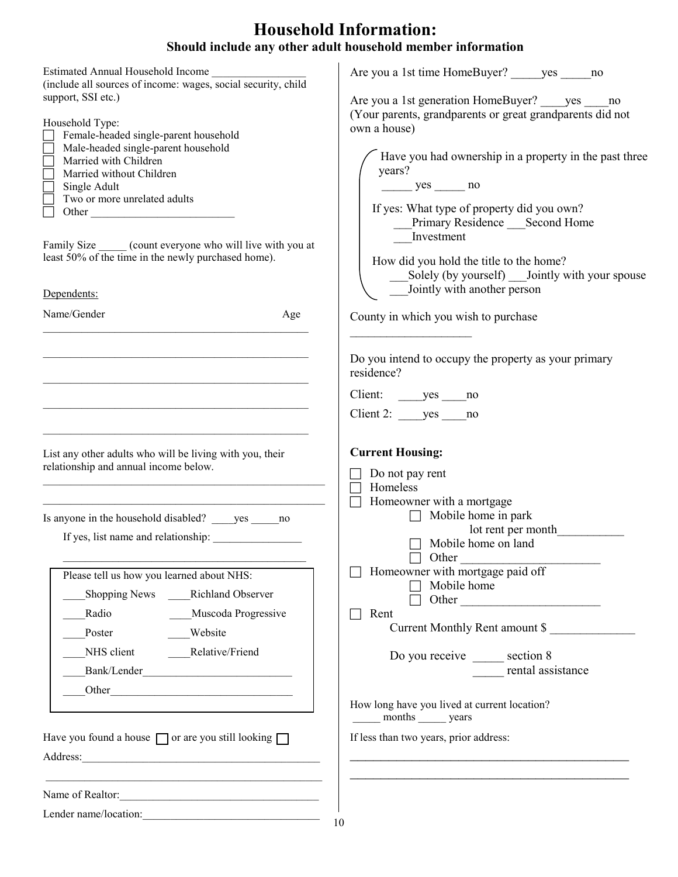# **Household Information: Should include any other adult household member information**

|                                                                                                                                                                                                                                                                                                                                            | Should include any other adult household inember information                                                                                                                                                                                                                                                         |
|--------------------------------------------------------------------------------------------------------------------------------------------------------------------------------------------------------------------------------------------------------------------------------------------------------------------------------------------|----------------------------------------------------------------------------------------------------------------------------------------------------------------------------------------------------------------------------------------------------------------------------------------------------------------------|
| Estimated Annual Household Income<br>(include all sources of income: wages, social security, child<br>support, SSI etc.)                                                                                                                                                                                                                   | Are you a 1st time HomeBuyer? yes no<br>Are you a 1st generation HomeBuyer? yes no<br>(Your parents, grandparents or great grandparents did not                                                                                                                                                                      |
| Household Type:<br>Female-headed single-parent household<br>Male-headed single-parent household<br>Married with Children<br>Married without Children<br>Single Adult<br>Two or more unrelated adults<br>Family Size ______ (count everyone who will live with you at<br>least 50% of the time in the newly purchased home).<br>Dependents: | own a house)<br>Have you had ownership in a property in the past three<br>years?<br>$yes$ no<br>If yes: What type of property did you own?<br>Primary Residence Second Home<br>Investment<br>How did you hold the title to the home?<br>Solely (by yourself) Jointly with your spouse<br>Jointly with another person |
| Name/Gender<br>Age                                                                                                                                                                                                                                                                                                                         | County in which you wish to purchase                                                                                                                                                                                                                                                                                 |
|                                                                                                                                                                                                                                                                                                                                            | Do you intend to occupy the property as your primary<br>residence?<br>Client: yes no<br>Client 2: $yes$ no                                                                                                                                                                                                           |
| List any other adults who will be living with you, their<br>relationship and annual income below.                                                                                                                                                                                                                                          | <b>Current Housing:</b><br>Do not pay rent<br>Homeless<br>Homeowner with a mortgage                                                                                                                                                                                                                                  |
| Is anyone in the household disabled? ______ yes ______ no<br>If yes, list name and relationship:                                                                                                                                                                                                                                           | $\Box$ Mobile home in park<br>lot rent per month<br>$\Box$ Mobile home on land                                                                                                                                                                                                                                       |
| Please tell us how you learned about NHS:<br><b>Richland Observer</b><br><b>Shopping News</b><br>Muscoda Progressive<br>Radio<br>Website<br>Poster<br>Relative/Friend<br>NHS client                                                                                                                                                        | Other<br>Homeowner with mortgage paid off<br>Mobile home<br>Rent<br>Current Monthly Rent amount \$<br>Do you receive _______ section 8<br>rental assistance                                                                                                                                                          |
| Have you found a house $\Box$ or are you still looking $\Box$                                                                                                                                                                                                                                                                              | How long have you lived at current location?<br>months _______ years<br>If less than two years, prior address:                                                                                                                                                                                                       |
| the control of the control of the control of the control of the control of the control of<br>Name of Realtor:<br>I ander name/location:                                                                                                                                                                                                    |                                                                                                                                                                                                                                                                                                                      |

Lender name/location: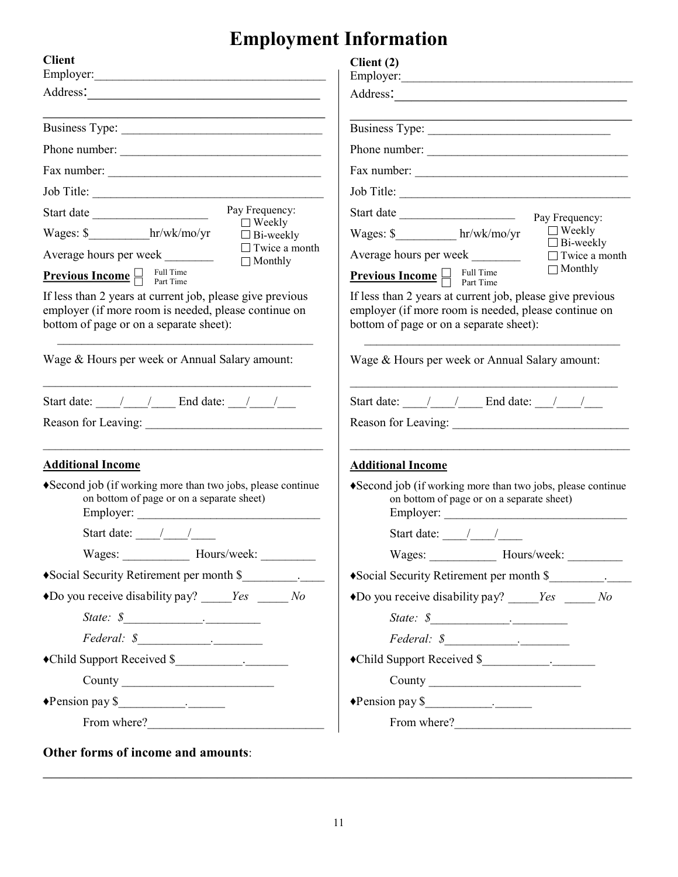# **Employment Information**

| <b>Client</b>                                                                                                                                                                                                                                                                                                                | Client (2)<br>Employer:                                                                                                |  |  |  |
|------------------------------------------------------------------------------------------------------------------------------------------------------------------------------------------------------------------------------------------------------------------------------------------------------------------------------|------------------------------------------------------------------------------------------------------------------------|--|--|--|
| Address:                                                                                                                                                                                                                                                                                                                     | Address:                                                                                                               |  |  |  |
|                                                                                                                                                                                                                                                                                                                              | Business Type:                                                                                                         |  |  |  |
| Phone number:                                                                                                                                                                                                                                                                                                                | Phone number:                                                                                                          |  |  |  |
| Fax number:                                                                                                                                                                                                                                                                                                                  |                                                                                                                        |  |  |  |
|                                                                                                                                                                                                                                                                                                                              | Job Title:                                                                                                             |  |  |  |
| Pay Frequency:                                                                                                                                                                                                                                                                                                               | Start date<br>Pay Frequency:                                                                                           |  |  |  |
| $\Box$ Weekly<br>Wages: \$ hr/wk/mo/yr<br>$\Box$ Bi-weekly                                                                                                                                                                                                                                                                   | $\Box$ Weekly<br>Wages: \$____________ hr/wk/mo/yr                                                                     |  |  |  |
| $\Box$ Twice a month<br>Average hours per week<br>$\Box$ Monthly                                                                                                                                                                                                                                                             | $\Box$ Bi-weekly<br>Average hours per week<br>$\Box$ Twice a month                                                     |  |  |  |
| <b>Previous Income</b> $\Box$ Full Time                                                                                                                                                                                                                                                                                      | $\Box$ Monthly<br><b>Previous Income</b> $\Box$ Full Time                                                              |  |  |  |
| If less than 2 years at current job, please give previous<br>If less than 2 years at current job, please give previous<br>employer (if more room is needed, please continue on<br>employer (if more room is needed, please continue on<br>bottom of page or on a separate sheet):<br>bottom of page or on a separate sheet): |                                                                                                                        |  |  |  |
| Wage & Hours per week or Annual Salary amount:                                                                                                                                                                                                                                                                               | Wage & Hours per week or Annual Salary amount:                                                                         |  |  |  |
| Start date: $\frac{1}{\sqrt{1-\frac{1}{2}}}$ End date: $\frac{1}{\sqrt{1-\frac{1}{2}}}$                                                                                                                                                                                                                                      | Start date: $\frac{1}{\sqrt{1-\frac{1}{2}}}$ End date: $\frac{1}{\sqrt{1-\frac{1}{2}}}$                                |  |  |  |
| Reason for Leaving: University of Leaving Communications of the Communication of the Communication of the Communication of the Communication of the Communication of the Communication of the Communication of the Communicati                                                                                               |                                                                                                                        |  |  |  |
| <b>Additional Income</b>                                                                                                                                                                                                                                                                                                     | <b>Additional Income</b>                                                                                               |  |  |  |
| ◆ Second job (if working more than two jobs, please continue<br>on bottom of page or on a separate sheet)<br>Employer:                                                                                                                                                                                                       | ◆ Second job (if working more than two jobs, please continue<br>on bottom of page or on a separate sheet)<br>Employer: |  |  |  |
| Start date: $\frac{\sqrt{1-\frac{1}{2}}}{\sqrt{1-\frac{1}{2}}}$                                                                                                                                                                                                                                                              | Start date: $\frac{1}{\sqrt{2\pi}}$                                                                                    |  |  |  |
| Wages: Hours/week:                                                                                                                                                                                                                                                                                                           | Wages: Hours/week:                                                                                                     |  |  |  |
| • Social Security Retirement per month \$                                                                                                                                                                                                                                                                                    | • Social Security Retirement per month \$                                                                              |  |  |  |
| $\bullet$ Do you receive disability pay? _____ <i>Yes</i> _____ <i>No</i>                                                                                                                                                                                                                                                    | $\triangle$ Do you receive disability pay? _____ <i>Yes</i> _____ <i>No</i>                                            |  |  |  |
| State: $\frac{\mathcal{S}_{\text{max}}}{\mathcal{S}_{\text{max}}}-$                                                                                                                                                                                                                                                          | State: $\frac{\mathcal{S}_{\text{max}}}{\mathcal{S}_{\text{max}}$                                                      |  |  |  |
| $Federal:$ $\frac{\mathcal{S}_{\text{max}}}{\mathcal{S}_{\text{max}}}-$                                                                                                                                                                                                                                                      |                                                                                                                        |  |  |  |
|                                                                                                                                                                                                                                                                                                                              | •Child Support Received \$                                                                                             |  |  |  |
|                                                                                                                                                                                                                                                                                                                              | County                                                                                                                 |  |  |  |
|                                                                                                                                                                                                                                                                                                                              | $\bullet$ Pension pay $\frac{\text{S}}{\text{S}}$                                                                      |  |  |  |
| From where?                                                                                                                                                                                                                                                                                                                  | From where?                                                                                                            |  |  |  |

\_\_\_\_\_\_\_\_\_\_\_\_\_\_\_\_\_\_\_\_\_\_\_\_\_\_\_\_\_\_\_\_\_\_\_\_\_\_\_\_\_\_\_\_\_\_\_\_\_\_\_\_\_\_\_\_\_\_\_\_\_\_\_\_\_\_\_\_\_\_\_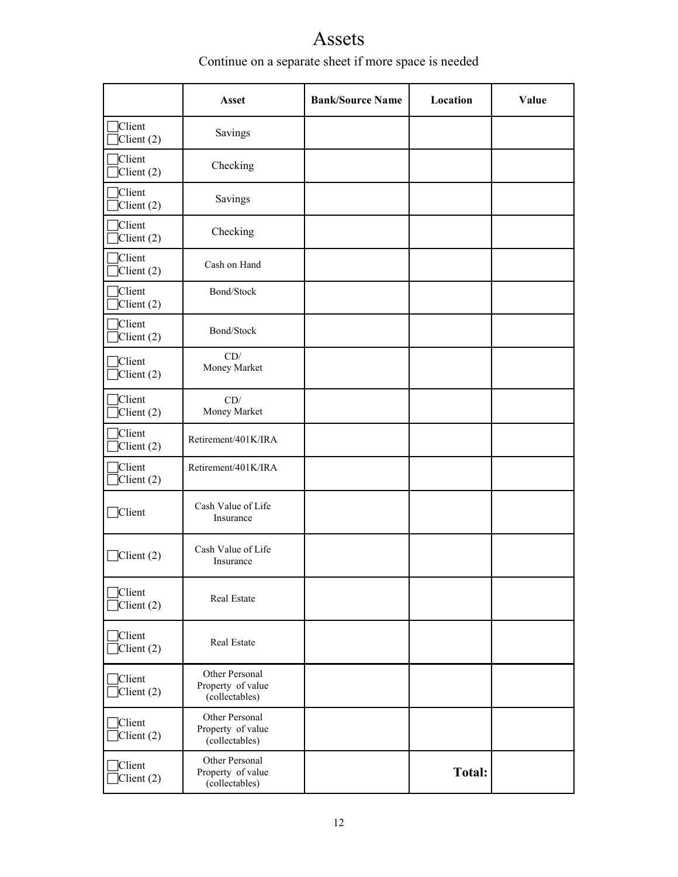# Assets

# Continue on a separate sheet if more space is needed

|                              | <b>Asset</b>                                          | <b>Bank/Source Name</b> | Location      | Value |
|------------------------------|-------------------------------------------------------|-------------------------|---------------|-------|
| Client<br>$\text{Client}(2)$ | Savings                                               |                         |               |       |
| Client<br>Client(2)          | Checking                                              |                         |               |       |
| Client<br>Client(2)          | Savings                                               |                         |               |       |
| Client<br>Client(2)          | Checking                                              |                         |               |       |
| Client<br>$\text{Client}(2)$ | Cash on Hand                                          |                         |               |       |
| Client<br>$\text{Client}(2)$ | Bond/Stock                                            |                         |               |       |
| Client<br>Client (2)         | Bond/Stock                                            |                         |               |       |
| Client<br>Client (2)         | CD/<br>Money Market                                   |                         |               |       |
| Client<br>Client (2)         | CD/<br>Money Market                                   |                         |               |       |
| Client<br>Client (2)         | Retirement/401K/IRA                                   |                         |               |       |
| Client<br>Client (2)         | Retirement/401K/IRA                                   |                         |               |       |
| <b>Client</b>                | Cash Value of Life<br>Insurance                       |                         |               |       |
| $C$ lient $(2)$              | Cash Value of Life<br>Insurance                       |                         |               |       |
| Client<br>$C$ lient $(2)$    | Real Estate                                           |                         |               |       |
| Client<br>$C$ lient $(2)$    | Real Estate                                           |                         |               |       |
| Client<br>$\Box$ Client (2)  | Other Personal<br>Property of value<br>(collectables) |                         |               |       |
| Client<br>$C$ lient $(2)$    | Other Personal<br>Property of value<br>(collectables) |                         |               |       |
| Client<br>Client (2)         | Other Personal<br>Property of value<br>(collectables) |                         | <b>Total:</b> |       |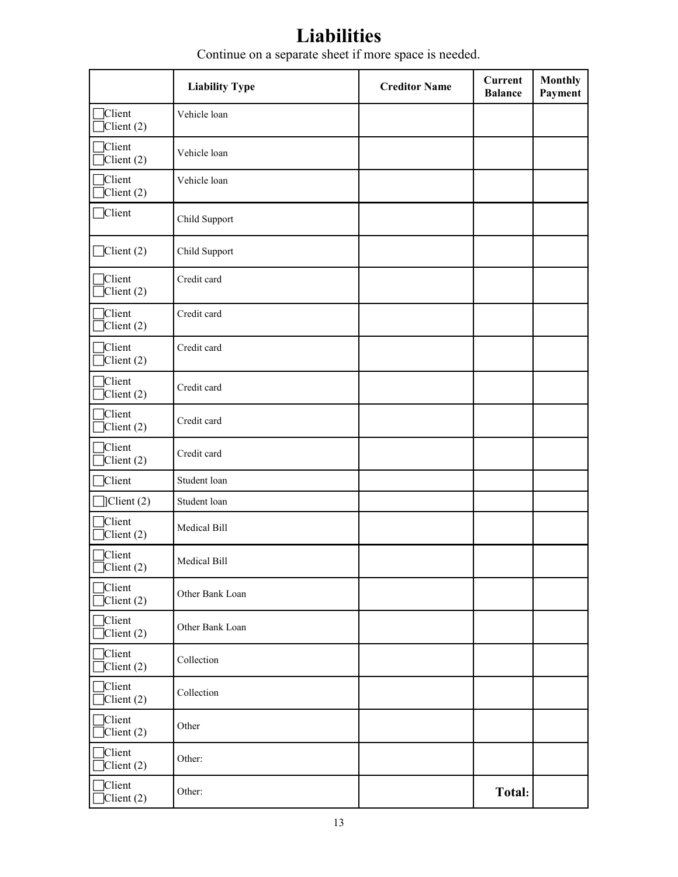# **Liabilities**

Continue on a separate sheet if more space is needed.

|                                         | <b>Liability Type</b> | <b>Creditor Name</b> | <b>Current</b><br><b>Balance</b> | <b>Monthly</b><br>Payment |
|-----------------------------------------|-----------------------|----------------------|----------------------------------|---------------------------|
| Client<br>$C$ lient $(2)$               | Vehicle loan          |                      |                                  |                           |
| Client<br>$\text{Client}(2)$            | Vehicle loan          |                      |                                  |                           |
| Client<br>$C$ lient $(2)$               | Vehicle loan          |                      |                                  |                           |
| Client                                  | Child Support         |                      |                                  |                           |
| $\Box$ Client (2)                       | Child Support         |                      |                                  |                           |
| Client<br>$C$ lient $(2)$               | Credit card           |                      |                                  |                           |
| Client<br>Client (2)                    | Credit card           |                      |                                  |                           |
| Client<br>Client (2)                    | Credit card           |                      |                                  |                           |
| Client<br>$C$ lient $(2)$               | Credit card           |                      |                                  |                           |
| Client<br>$C$ lient $(2)$               | Credit card           |                      |                                  |                           |
| Client<br>$C$ lient $(2)$               | Credit card           |                      |                                  |                           |
| Client                                  | Student loan          |                      |                                  |                           |
| $\Box$ Client (2)                       | Student loan          |                      |                                  |                           |
| Client<br>Client (2)                    | Medical Bill          |                      |                                  |                           |
| Client<br>Client (2)                    | Medical Bill          |                      |                                  |                           |
| Client<br>$C$ lient $(2)$               | Other Bank Loan       |                      |                                  |                           |
| Client<br>$\overline{\text{Client}}(2)$ | Other Bank Loan       |                      |                                  |                           |
| Client<br>$C$ lient $(2)$               | Collection            |                      |                                  |                           |
| Client<br>$C$ lient $(2)$               | Collection            |                      |                                  |                           |
| Client<br>$\overline{\text{Client}}(2)$ | Other                 |                      |                                  |                           |
| Client<br>Client (2)                    | Other:                |                      |                                  |                           |
| Client<br>Client (2)                    | Other:                |                      | <b>Total:</b>                    |                           |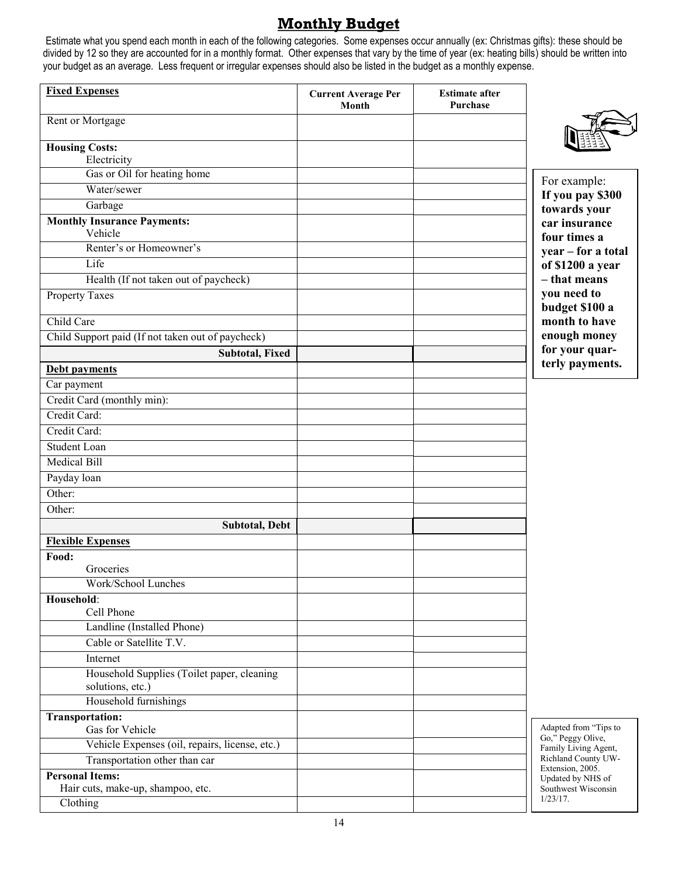# **Monthly Budget**

Estimate what you spend each month in each of the following categories. Some expenses occur annually (ex: Christmas gifts): these should be divided by 12 so they are accounted for in a monthly format. Other expenses that vary by the time of year (ex: heating bills) should be written into your budget as an average. Less frequent or irregular expenses should also be listed in the budget as a monthly expense.

| <b>Fixed Expenses</b>                                          | <b>Current Average Per</b><br>Month | <b>Estimate after</b><br>Purchase |                                            |
|----------------------------------------------------------------|-------------------------------------|-----------------------------------|--------------------------------------------|
| Rent or Mortgage                                               |                                     |                                   |                                            |
| <b>Housing Costs:</b><br>Electricity                           |                                     |                                   |                                            |
| Gas or Oil for heating home                                    |                                     |                                   | For example:                               |
| Water/sewer                                                    |                                     |                                   | If you pay \$300                           |
| Garbage                                                        |                                     |                                   | towards your                               |
| <b>Monthly Insurance Payments:</b><br>Vehicle                  |                                     |                                   | car insurance<br>four times a              |
| Renter's or Homeowner's                                        |                                     |                                   | year - for a total                         |
| Life                                                           |                                     |                                   | of \$1200 a year                           |
| Health (If not taken out of paycheck)                          |                                     |                                   | - that means                               |
| Property Taxes                                                 |                                     |                                   | you need to<br>budget \$100 a              |
| Child Care                                                     |                                     |                                   | month to have                              |
| Child Support paid (If not taken out of paycheck)              |                                     |                                   | enough money                               |
| <b>Subtotal, Fixed</b>                                         |                                     |                                   | for your quar-                             |
| Debt payments                                                  |                                     |                                   | terly payments.                            |
| Car payment                                                    |                                     |                                   |                                            |
| Credit Card (monthly min):                                     |                                     |                                   |                                            |
| Credit Card:                                                   |                                     |                                   |                                            |
| Credit Card:                                                   |                                     |                                   |                                            |
| Student Loan                                                   |                                     |                                   |                                            |
| <b>Medical Bill</b>                                            |                                     |                                   |                                            |
| Payday loan                                                    |                                     |                                   |                                            |
| Other:                                                         |                                     |                                   |                                            |
| Other:                                                         |                                     |                                   |                                            |
| <b>Subtotal, Debt</b>                                          |                                     |                                   |                                            |
| <b>Flexible Expenses</b>                                       |                                     |                                   |                                            |
| Food:                                                          |                                     |                                   |                                            |
| Groceries                                                      |                                     |                                   |                                            |
| Work/School Lunches                                            |                                     |                                   |                                            |
| Household:                                                     |                                     |                                   |                                            |
| Cell Phone                                                     |                                     |                                   |                                            |
| Landline (Installed Phone)                                     |                                     |                                   |                                            |
| Cable or Satellite T.V.                                        |                                     |                                   |                                            |
| Internet                                                       |                                     |                                   |                                            |
| Household Supplies (Toilet paper, cleaning<br>solutions, etc.) |                                     |                                   |                                            |
| Household furnishings                                          |                                     |                                   |                                            |
| <b>Transportation:</b><br>Gas for Vehicle                      |                                     |                                   | Adapted from "Tips to<br>Go," Peggy Olive, |
| Vehicle Expenses (oil, repairs, license, etc.)                 |                                     |                                   | Family Living Agent,                       |
| Transportation other than car                                  |                                     |                                   | Richland County UW-<br>Extension, 2005.    |
| <b>Personal Items:</b>                                         |                                     |                                   | Updated by NHS of                          |
| Hair cuts, make-up, shampoo, etc.                              |                                     |                                   | Southwest Wisconsin<br>$1/23/17$ .         |
| Clothing                                                       |                                     |                                   |                                            |